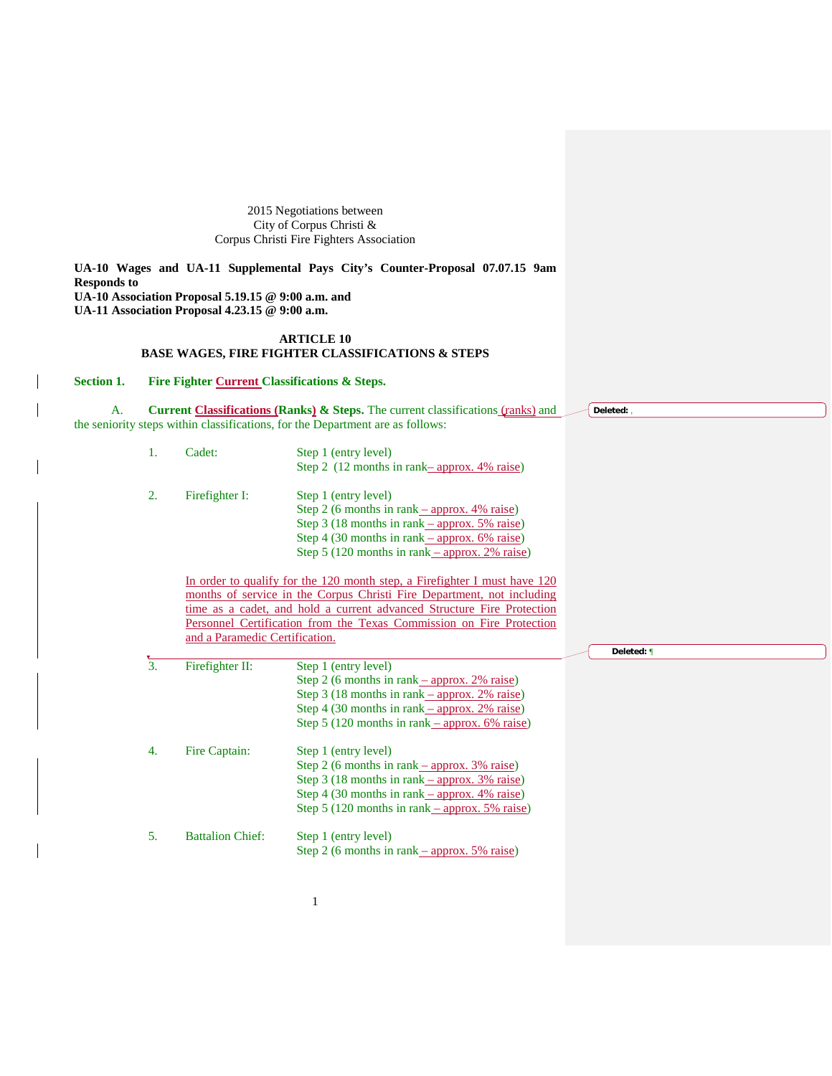2015 Negotiations between City of Corpus Christi & Corpus Christi Fire Fighters Association

**UA-10 Wages and UA-11 Supplemental Pays City's Counter-Proposal 07.07.15 9am Responds to UA-10 Association Proposal 5.19.15 @ 9:00 a.m. and UA-11 Association Proposal 4.23.15 @ 9:00 a.m.**

## **ARTICLE 10 BASE WAGES, FIRE FIGHTER CLASSIFICATIONS & STEPS**

**Section 1. Fire Fighter Current Classifications & Steps.**

A. **Current Classifications (Ranks) & Steps.** The current classifications (ranks) and the seniority steps within classifications, for the Department are as follows: **Deleted:** ,

| 1.               | Cadet:                         | Step 1 (entry level)                                                                              |            |
|------------------|--------------------------------|---------------------------------------------------------------------------------------------------|------------|
|                  |                                | Step 2 (12 months in rank-approx. 4% raise)                                                       |            |
| 2.               | Firefighter I:                 | Step 1 (entry level)                                                                              |            |
|                  |                                | Step 2 (6 months in rank $\frac{-}{2}$ approx. 4% raise)                                          |            |
|                  |                                | Step 3 (18 months in rank $\frac{-}{2}$ approx. 5% raise)                                         |            |
|                  |                                | Step 4 (30 months in rank $-$ approx. 6% raise)                                                   |            |
|                  |                                | Step 5 (120 months in rank $-$ approx. 2% raise)                                                  |            |
|                  |                                |                                                                                                   |            |
|                  |                                | In order to qualify for the 120 month step, a Firefighter I must have 120                         |            |
|                  |                                | months of service in the Corpus Christi Fire Department, not including                            |            |
|                  |                                | time as a cadet, and hold a current advanced Structure Fire Protection                            |            |
|                  |                                | Personnel Certification from the Texas Commission on Fire Protection                              |            |
|                  | and a Paramedic Certification. |                                                                                                   |            |
|                  |                                |                                                                                                   | Deleted: ¶ |
|                  |                                |                                                                                                   |            |
| $\overline{3}$ . | Firefighter II:                | Step 1 (entry level)                                                                              |            |
|                  |                                | Step 2 (6 months in rank $\frac{-}{2\%}$ raise)                                                   |            |
|                  |                                | Step 3 (18 months in rank $-$ approx. 2% raise)                                                   |            |
|                  |                                | Step 4 (30 months in rank $-$ approx. 2% raise)                                                   |            |
|                  |                                | Step 5 (120 months in rank $-$ approx. 6% raise)                                                  |            |
| 4.               |                                |                                                                                                   |            |
|                  | Fire Captain:                  | Step 1 (entry level)                                                                              |            |
|                  |                                | Step 2 (6 months in rank $-$ approx. 3% raise)                                                    |            |
|                  |                                | Step 3 (18 months in rank <u>– approx. 3% raise</u> )                                             |            |
|                  |                                | Step 4 (30 months in rank – approx. 4% raise)<br>Step 5 (120 months in rank $-$ approx. 5% raise) |            |
|                  |                                |                                                                                                   |            |
| 5.               | <b>Battalion Chief:</b>        | Step 1 (entry level)<br>Step 2 (6 months in rank $\frac{-}{2}$ approx. 5% raise)                  |            |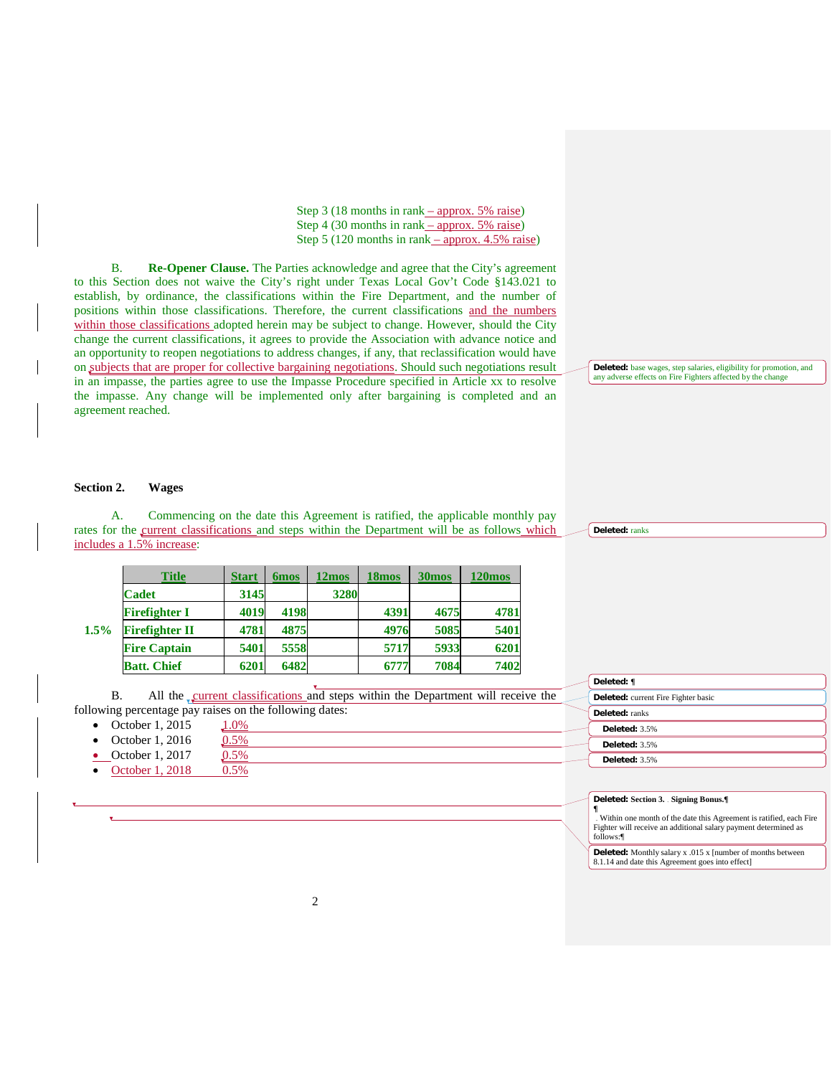Step 3 (18 months in rank – approx. 5% raise) Step 4 (30 months in rank – approx. 5% raise) Step 5 (120 months in rank  $-$  approx. 4.5% raise)

B. **Re-Opener Clause.** The Parties acknowledge and agree that the City's agreement to this Section does not waive the City's right under Texas Local Gov't Code §143.021 to establish, by ordinance, the classifications within the Fire Department, and the number of positions within those classifications. Therefore, the current classifications and the numbers within those classifications adopted herein may be subject to change. However, should the City change the current classifications, it agrees to provide the Association with advance notice and an opportunity to reopen negotiations to address changes, if any, that reclassification would have on subjects that are proper for collective bargaining negotiations. Should such negotiations result in an impasse, the parties agree to use the Impasse Procedure specified in Article xx to resolve the impasse. Any change will be implemented only after bargaining is completed and an agreement reached.

# **Deleted:** base wages, step salaries, eligibility for promotion, and any adverse effects on Fire Fighters affected by the change

#### **Section 2. Wages**

A. Commencing on the date this Agreement is ratified, the applicable monthly pay rates for the current classifications and steps within the Department will be as follows which includes a 1.5% increase:

|      | <b>Title</b>          | <b>Start</b> | <b>6mos</b> | 12mos | <b>18mos</b> | 30 <sub>mos</sub> | <b>120mos</b> |
|------|-----------------------|--------------|-------------|-------|--------------|-------------------|---------------|
| 1.5% | <b>Cadet</b>          | 3145         |             | 3280  |              |                   |               |
|      | <b>Firefighter I</b>  | 4019         | 4198        |       | 4391         | 4675              | 4781          |
|      | <b>Firefighter II</b> | 4781         | 4875        |       | 4976         | 5085              | 5401          |
|      | <b>Fire Captain</b>   | 5401         | 5558        |       | 5717         | 5933              | 6201          |
|      | <b>Batt. Chief</b>    | 6201         | 6482        |       | 6777         | 7084              | 7402          |

B. All the current classifications and steps within the Department will receive the following percentage pay raises on the following dates:<br>
• October 1, 2015  $\underline{1.0\%}$ 

- October 1, 2015
- October 1, 2016  $\underline{0.5\%}$ <br>October 1, 2017  $\underline{0.5\%}$
- October 1, 2017
- October 1, 2018 0.5%

**Deleted:** ranks

**Deleted: ¶**

**Deleted:** ranks **Deleted:** 3.5% **Deleted:** 3.5% **Deleted:** 3.5%

**Deleted: Section 3. Signing Bonus.¶**

**Deleted:** current Fire Fighter basic

**¶** Within one month of the date this Agreement is ratified, each Fire Fighter will receive an additional salary payment determined as follows:¶

**Deleted:** Monthly salary x .015 x [number of months between 8.1.14 and date this Agreement goes into effect]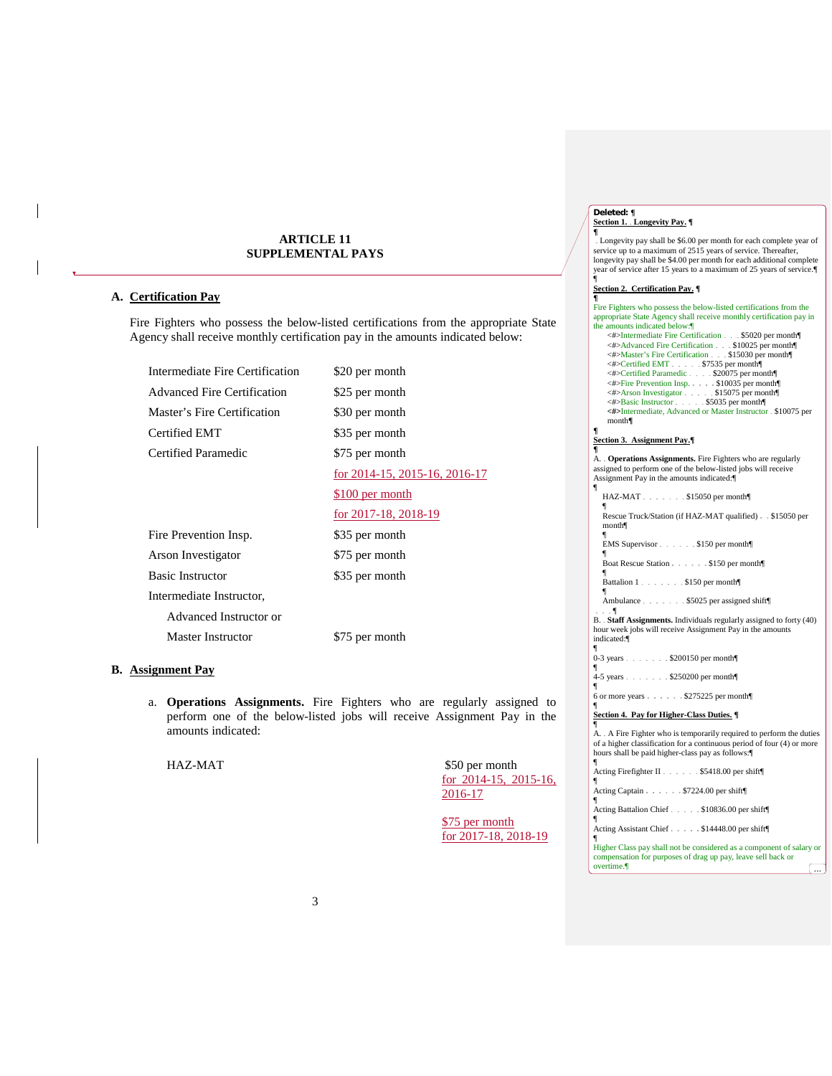### **ARTICLE 11 SUPPLEMENTAL PAYS**

## **A. Certification Pay**

Fire Fighters who possess the below-listed certifications from the appropriate State Agency shall receive monthly certification pay in the amounts indicated below:

| Intermediate Fire Certification    | \$20 per month                |
|------------------------------------|-------------------------------|
| <b>Advanced Fire Certification</b> | \$25 per month                |
| Master's Fire Certification        | \$30 per month                |
| Certified EMT                      | \$35 per month                |
| Certified Paramedic                | \$75 per month                |
|                                    | for 2014-15, 2015-16, 2016-17 |
|                                    | \$100 per month               |
|                                    | for 2017-18, 2018-19          |
| Fire Prevention Insp.              | \$35 per month                |
| Arson Investigator                 | \$75 per month                |
| <b>Basic Instructor</b>            | \$35 per month                |
| Intermediate Instructor,           |                               |
| Advanced Instructor or             |                               |
| Master Instructor                  | \$75 per month                |

## **B. Assignment Pay**

a. **Operations Assignments.** Fire Fighters who are regularly assigned to perform one of the below-listed jobs will receive Assignment Pay in the amounts indicated:

HAZ-MAT \$50 per month for 2014-15, 2015-16, 2016-17

> \$75 per month for 2017-18, 2018-19

> > overtime.¶ ...

# **Deleted: ¶ Section 1. Longevity Pay. ¶ ¶**

Longevity pay shall be \$6.00 per month for each complete year of service up to a maximum of 2515 years of service. Thereafter,<br>longevity pay shall be \$4.00 per month for each additional complete<br>year of service after 15 years to a maximum of 25 years of service.¶<br>¶

# **Section 2. Certification Pay. ¶ ¶**

| 1                                                                      |
|------------------------------------------------------------------------|
| Fire Fighters who possess the below-listed certifications from the     |
| appropriate State Agency shall receive monthly certification pay in    |
| the amounts indicated below:                                           |
| <#>Intermediate Fire Certification \$5020 per month                    |
| <#>Advanced Fire Certification \$10025 per month                       |
| <#>Master's Fire Certification \$15030 per month                       |
| <#>Certified EMT \$7535 per month                                      |
| <#>Certified Paramedic \$20075 per month                               |
| <#>Fire Prevention Insp. \$10035 per month                             |
| <#>Arson Investigator \$15075 per month                                |
| <#>Basic Instructor - - - - - \$5035 per month                         |
| <#>Intermediate, Advanced or Master Instructor - \$10075 per           |
| month                                                                  |
| ¶                                                                      |
|                                                                        |
| Section 3. Assignment Pay.<br>ſ                                        |
|                                                                        |
| A. . Operations Assignments. Fire Fighters who are regularly           |
| assigned to perform one of the below-listed jobs will receive          |
| Assignment Pay in the amounts indicated:                               |
| ¶                                                                      |
| HAZ-MAT \$15050 per month                                              |
| ſ                                                                      |
| Rescue Truck/Station (if HAZ-MAT qualified) \$15050 per                |
| month                                                                  |
| 1                                                                      |
| EMS Supervisor - - - - - \$150 per month                               |
|                                                                        |
| Boat Rescue Station \$150 per month                                    |
| 1                                                                      |
| Battalion 1 \$150 per month                                            |
| ſ                                                                      |
| Ambulance - - - - - - - \$5025 per assigned shift                      |
| $\cdots$ 1                                                             |
| B. - Staff Assignments. Individuals regularly assigned to forty (40)   |
| hour week jobs will receive Assignment Pay in the amounts              |
|                                                                        |
| indicated:                                                             |
| ¶                                                                      |
| 0-3 years \$200150 per month                                           |
|                                                                        |
| 4-5 years \$250200 per month                                           |
| ¶                                                                      |
| 6 or more years \$275225 per month                                     |
| ſ                                                                      |
| Section 4. Pay for Higher-Class Duties.                                |
| ſ                                                                      |
| A. A Fire Fighter who is temporarily required to perform the duties    |
| of a higher classification for a continuous period of four (4) or more |
| hours shall be paid higher-class pay as follows:                       |
| 1                                                                      |
| Acting Firefighter II. \$5418.00 per shift                             |
| 1                                                                      |
| Acting Captain - - - - - - \$7224.00 per shift                         |
| 1                                                                      |
| Acting Battalion Chief - - - - - \$10836.00 per shift                  |
| ¶                                                                      |
| Acting Assistant Chief\$14448.00 per shift                             |
| ¶                                                                      |
|                                                                        |
| Higher Class pay shall not be considered as a component of salary or   |
| compensation for purposes of drag up pay, leave sell back or           |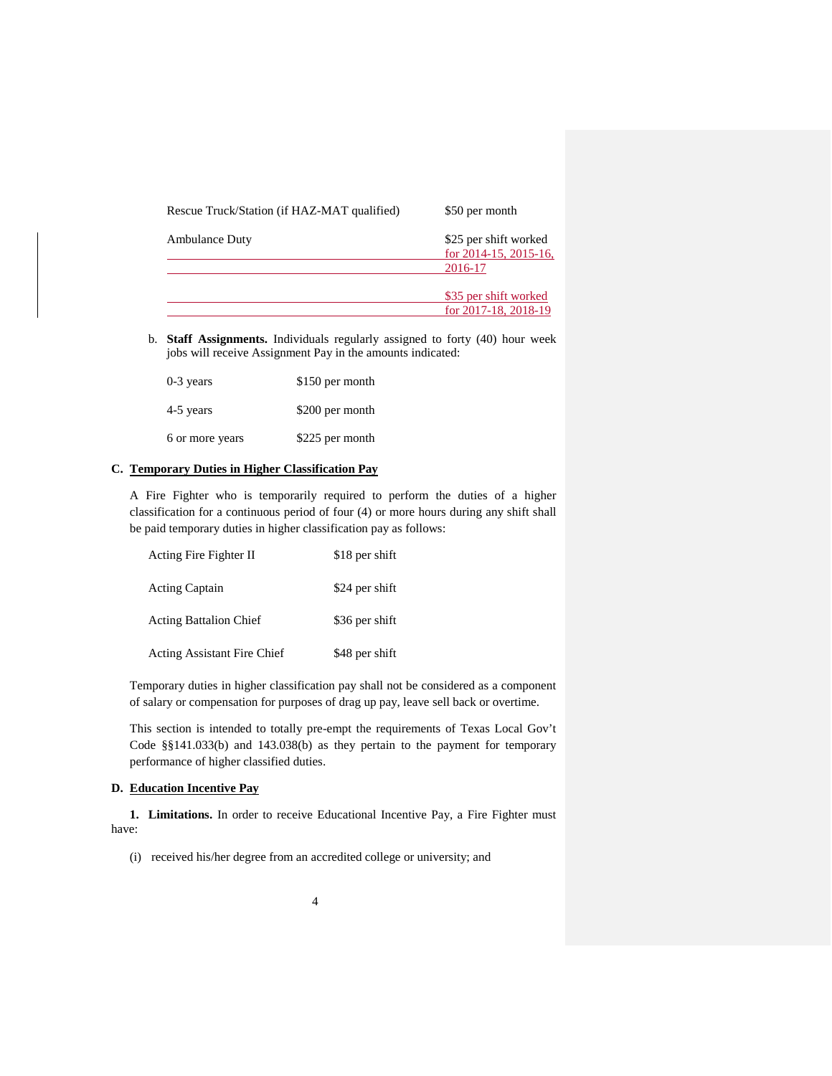| Rescue Truck/Station (if HAZ-MAT qualified) | \$50 per month                                            |
|---------------------------------------------|-----------------------------------------------------------|
| <b>Ambulance Duty</b>                       | \$25 per shift worked<br>for 2014-15, 2015-16,<br>2016-17 |
|                                             | \$35 per shift worked<br>for 2017-18, 2018-19             |

b. **Staff Assignments.** Individuals regularly assigned to forty (40) hour week jobs will receive Assignment Pay in the amounts indicated:

| $0-3$ years     | \$150 per month |
|-----------------|-----------------|
| 4-5 years       | \$200 per month |
| 6 or more years | \$225 per month |

## **C. Temporary Duties in Higher Classification Pay**

A Fire Fighter who is temporarily required to perform the duties of a higher classification for a continuous period of four (4) or more hours during any shift shall be paid temporary duties in higher classification pay as follows:

| Acting Fire Fighter II             | \$18 per shift |
|------------------------------------|----------------|
| <b>Acting Captain</b>              | \$24 per shift |
| <b>Acting Battalion Chief</b>      | \$36 per shift |
| <b>Acting Assistant Fire Chief</b> | \$48 per shift |

Temporary duties in higher classification pay shall not be considered as a component of salary or compensation for purposes of drag up pay, leave sell back or overtime.

This section is intended to totally pre-empt the requirements of Texas Local Gov't Code §§141.033(b) and 143.038(b) as they pertain to the payment for temporary performance of higher classified duties.

### **D. Education Incentive Pay**

**1. Limitations.** In order to receive Educational Incentive Pay, a Fire Fighter must have:

(i) received his/her degree from an accredited college or university; and